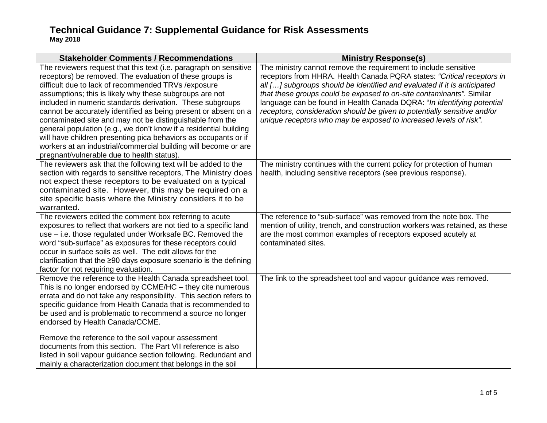| <b>Stakeholder Comments / Recommendations</b>                                                                                                                                                                                                                                                                                                                                                                                                                                                                                                                                                                                                                                                          | <b>Ministry Response(s)</b>                                                                                                                                                                                                                                                                                                                                                                                                                                                                                              |
|--------------------------------------------------------------------------------------------------------------------------------------------------------------------------------------------------------------------------------------------------------------------------------------------------------------------------------------------------------------------------------------------------------------------------------------------------------------------------------------------------------------------------------------------------------------------------------------------------------------------------------------------------------------------------------------------------------|--------------------------------------------------------------------------------------------------------------------------------------------------------------------------------------------------------------------------------------------------------------------------------------------------------------------------------------------------------------------------------------------------------------------------------------------------------------------------------------------------------------------------|
| The reviewers request that this text (i.e. paragraph on sensitive<br>receptors) be removed. The evaluation of these groups is<br>difficult due to lack of recommended TRVs / exposure<br>assumptions; this is likely why these subgroups are not<br>included in numeric standards derivation. These subgroups<br>cannot be accurately identified as being present or absent on a<br>contaminated site and may not be distinguishable from the<br>general population (e.g., we don't know if a residential building<br>will have children presenting pica behaviors as occupants or if<br>workers at an industrial/commercial building will become or are<br>pregnant/vulnerable due to health status). | The ministry cannot remove the requirement to include sensitive<br>receptors from HHRA. Health Canada PQRA states: "Critical receptors in<br>all [] subgroups should be identified and evaluated if it is anticipated<br>that these groups could be exposed to on-site contaminants". Similar<br>language can be found in Health Canada DQRA: "In identifying potential<br>receptors, consideration should be given to potentially sensitive and/or<br>unique receptors who may be exposed to increased levels of risk". |
| The reviewers ask that the following text will be added to the<br>section with regards to sensitive receptors, The Ministry does<br>not expect these receptors to be evaluated on a typical<br>contaminated site. However, this may be required on a<br>site specific basis where the Ministry considers it to be<br>warranted.                                                                                                                                                                                                                                                                                                                                                                        | The ministry continues with the current policy for protection of human<br>health, including sensitive receptors (see previous response).                                                                                                                                                                                                                                                                                                                                                                                 |
| The reviewers edited the comment box referring to acute<br>exposures to reflect that workers are not tied to a specific land<br>use - i.e. those regulated under Worksafe BC. Removed the<br>word "sub-surface" as exposures for these receptors could<br>occur in surface soils as well. The edit allows for the<br>clarification that the $\geq 90$ days exposure scenario is the defining<br>factor for not requiring evaluation.                                                                                                                                                                                                                                                                   | The reference to "sub-surface" was removed from the note box. The<br>mention of utility, trench, and construction workers was retained, as these<br>are the most common examples of receptors exposed acutely at<br>contaminated sites.                                                                                                                                                                                                                                                                                  |
| Remove the reference to the Health Canada spreadsheet tool.<br>This is no longer endorsed by CCME/HC - they cite numerous<br>errata and do not take any responsibility. This section refers to<br>specific guidance from Health Canada that is recommended to<br>be used and is problematic to recommend a source no longer<br>endorsed by Health Canada/CCME.<br>Remove the reference to the soil vapour assessment<br>documents from this section. The Part VII reference is also<br>listed in soil vapour guidance section following. Redundant and<br>mainly a characterization document that belongs in the soil                                                                                  | The link to the spreadsheet tool and vapour guidance was removed.                                                                                                                                                                                                                                                                                                                                                                                                                                                        |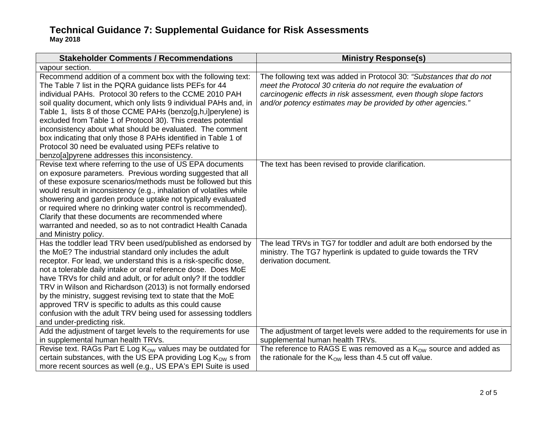| <b>Stakeholder Comments / Recommendations</b>                                                                                                                                                                                                                                                                                                                                                                                                                                                                                                                                                                                     | <b>Ministry Response(s)</b>                                                                                                                                                                                                                                                  |
|-----------------------------------------------------------------------------------------------------------------------------------------------------------------------------------------------------------------------------------------------------------------------------------------------------------------------------------------------------------------------------------------------------------------------------------------------------------------------------------------------------------------------------------------------------------------------------------------------------------------------------------|------------------------------------------------------------------------------------------------------------------------------------------------------------------------------------------------------------------------------------------------------------------------------|
| vapour section.                                                                                                                                                                                                                                                                                                                                                                                                                                                                                                                                                                                                                   |                                                                                                                                                                                                                                                                              |
| Recommend addition of a comment box with the following text:<br>The Table 7 list in the PQRA guidance lists PEFs for 44<br>individual PAHs. Protocol 30 refers to the CCME 2010 PAH<br>soil quality document, which only lists 9 individual PAHs and, in<br>Table 1, lists 8 of those CCME PAHs (benzo[g,h,i]perylene) is<br>excluded from Table 1 of Protocol 30). This creates potential<br>inconsistency about what should be evaluated. The comment<br>box indicating that only those 8 PAHs identified in Table 1 of<br>Protocol 30 need be evaluated using PEFs relative to<br>benzo[a]pyrene addresses this inconsistency. | The following text was added in Protocol 30: "Substances that do not<br>meet the Protocol 30 criteria do not require the evaluation of<br>carcinogenic effects in risk assessment, even though slope factors<br>and/or potency estimates may be provided by other agencies." |
| Revise text where referring to the use of US EPA documents<br>on exposure parameters. Previous wording suggested that all<br>of these exposure scenarios/methods must be followed but this<br>would result in inconsistency (e.g., inhalation of volatiles while<br>showering and garden produce uptake not typically evaluated<br>or required where no drinking water control is recommended).<br>Clarify that these documents are recommended where<br>warranted and needed, so as to not contradict Health Canada<br>and Ministry policy.                                                                                      | The text has been revised to provide clarification.                                                                                                                                                                                                                          |
| Has the toddler lead TRV been used/published as endorsed by<br>the MoE? The industrial standard only includes the adult<br>receptor. For lead, we understand this is a risk-specific dose,<br>not a tolerable daily intake or oral reference dose. Does MoE<br>have TRVs for child and adult, or for adult only? If the toddler<br>TRV in Wilson and Richardson (2013) is not formally endorsed<br>by the ministry, suggest revising text to state that the MoE<br>approved TRV is specific to adults as this could cause<br>confusion with the adult TRV being used for assessing toddlers<br>and under-predicting risk.         | The lead TRVs in TG7 for toddler and adult are both endorsed by the<br>ministry. The TG7 hyperlink is updated to guide towards the TRV<br>derivation document.                                                                                                               |
| Add the adjustment of target levels to the requirements for use<br>in supplemental human health TRVs.                                                                                                                                                                                                                                                                                                                                                                                                                                                                                                                             | The adjustment of target levels were added to the requirements for use in<br>supplemental human health TRVs.                                                                                                                                                                 |
| Revise text. RAGs Part E Log Kow values may be outdated for                                                                                                                                                                                                                                                                                                                                                                                                                                                                                                                                                                       | The reference to RAGS E was removed as a $K_{OW}$ source and added as                                                                                                                                                                                                        |
| certain substances, with the US EPA providing Log $K_{OW}$ s from                                                                                                                                                                                                                                                                                                                                                                                                                                                                                                                                                                 | the rationale for the $K_{OW}$ less than 4.5 cut off value.                                                                                                                                                                                                                  |
| more recent sources as well (e.g., US EPA's EPI Suite is used                                                                                                                                                                                                                                                                                                                                                                                                                                                                                                                                                                     |                                                                                                                                                                                                                                                                              |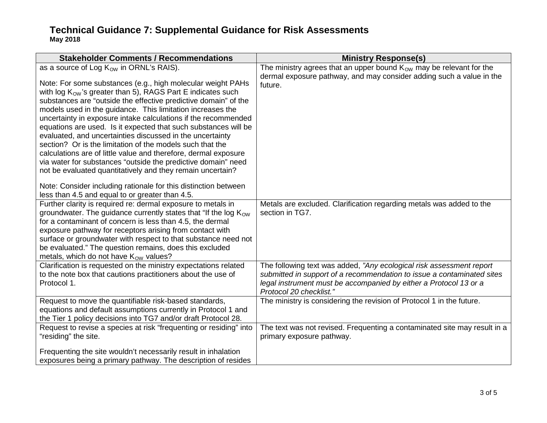| <b>Stakeholder Comments / Recommendations</b>                                                                                                                                                                                                                                                                                                                                                                                                                                                                                                                                                                                                                                                                                                                                                                                                                                                                  | <b>Ministry Response(s)</b>                                                                                                                                                                                                                    |
|----------------------------------------------------------------------------------------------------------------------------------------------------------------------------------------------------------------------------------------------------------------------------------------------------------------------------------------------------------------------------------------------------------------------------------------------------------------------------------------------------------------------------------------------------------------------------------------------------------------------------------------------------------------------------------------------------------------------------------------------------------------------------------------------------------------------------------------------------------------------------------------------------------------|------------------------------------------------------------------------------------------------------------------------------------------------------------------------------------------------------------------------------------------------|
| as a source of Log K <sub>ow</sub> in ORNL's RAIS).<br>Note: For some substances (e.g., high molecular weight PAHs<br>with log $K_{OW}$ 's greater than 5), RAGS Part E indicates such<br>substances are "outside the effective predictive domain" of the<br>models used in the guidance. This limitation increases the<br>uncertainty in exposure intake calculations if the recommended<br>equations are used. Is it expected that such substances will be<br>evaluated, and uncertainties discussed in the uncertainty<br>section? Or is the limitation of the models such that the<br>calculations are of little value and therefore, dermal exposure<br>via water for substances "outside the predictive domain" need<br>not be evaluated quantitatively and they remain uncertain?<br>Note: Consider including rationale for this distinction between<br>less than 4.5 and equal to or greater than 4.5. | The ministry agrees that an upper bound $K_{OW}$ may be relevant for the<br>dermal exposure pathway, and may consider adding such a value in the<br>future.                                                                                    |
| Further clarity is required re: dermal exposure to metals in<br>groundwater. The guidance currently states that "If the log $K_{\text{OW}}$<br>for a contaminant of concern is less than 4.5, the dermal<br>exposure pathway for receptors arising from contact with<br>surface or groundwater with respect to that substance need not<br>be evaluated." The question remains, does this excluded<br>metals, which do not have $K_{OW}$ values?                                                                                                                                                                                                                                                                                                                                                                                                                                                                | Metals are excluded. Clarification regarding metals was added to the<br>section in TG7.                                                                                                                                                        |
| Clarification is requested on the ministry expectations related<br>to the note box that cautions practitioners about the use of<br>Protocol 1.                                                                                                                                                                                                                                                                                                                                                                                                                                                                                                                                                                                                                                                                                                                                                                 | The following text was added, "Any ecological risk assessment report<br>submitted in support of a recommendation to issue a contaminated sites<br>legal instrument must be accompanied by either a Protocol 13 or a<br>Protocol 20 checklist." |
| Request to move the quantifiable risk-based standards,<br>equations and default assumptions currently in Protocol 1 and<br>the Tier 1 policy decisions into TG7 and/or draft Protocol 28.                                                                                                                                                                                                                                                                                                                                                                                                                                                                                                                                                                                                                                                                                                                      | The ministry is considering the revision of Protocol 1 in the future.                                                                                                                                                                          |
| Request to revise a species at risk "frequenting or residing" into<br>"residing" the site.                                                                                                                                                                                                                                                                                                                                                                                                                                                                                                                                                                                                                                                                                                                                                                                                                     | The text was not revised. Frequenting a contaminated site may result in a<br>primary exposure pathway.                                                                                                                                         |
| Frequenting the site wouldn't necessarily result in inhalation<br>exposures being a primary pathway. The description of resides                                                                                                                                                                                                                                                                                                                                                                                                                                                                                                                                                                                                                                                                                                                                                                                |                                                                                                                                                                                                                                                |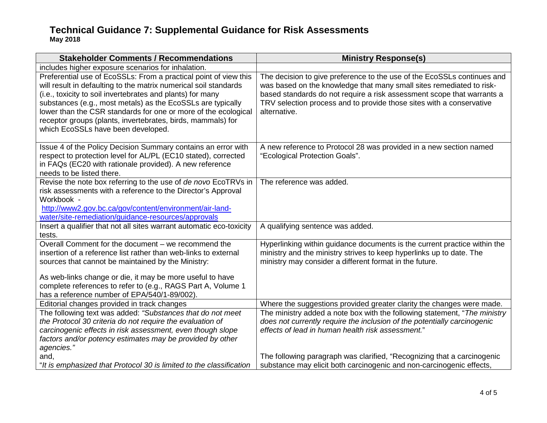| <b>Stakeholder Comments / Recommendations</b>                                                                                                                                                                                                                                                                                                                                                                                            | <b>Ministry Response(s)</b>                                                                                                                                                                                                                                                                                       |
|------------------------------------------------------------------------------------------------------------------------------------------------------------------------------------------------------------------------------------------------------------------------------------------------------------------------------------------------------------------------------------------------------------------------------------------|-------------------------------------------------------------------------------------------------------------------------------------------------------------------------------------------------------------------------------------------------------------------------------------------------------------------|
| includes higher exposure scenarios for inhalation.                                                                                                                                                                                                                                                                                                                                                                                       |                                                                                                                                                                                                                                                                                                                   |
| Preferential use of EcoSSLs: From a practical point of view this<br>will result in defaulting to the matrix numerical soil standards<br>(i.e., toxicity to soil invertebrates and plants) for many<br>substances (e.g., most metals) as the EcoSSLs are typically<br>lower than the CSR standards for one or more of the ecological<br>receptor groups (plants, invertebrates, birds, mammals) for<br>which EcoSSLs have been developed. | The decision to give preference to the use of the EcoSSLs continues and<br>was based on the knowledge that many small sites remediated to risk-<br>based standards do not require a risk assessment scope that warrants a<br>TRV selection process and to provide those sites with a conservative<br>alternative. |
| Issue 4 of the Policy Decision Summary contains an error with<br>respect to protection level for AL/PL (EC10 stated), corrected<br>in FAQs (EC20 with rationale provided). A new reference<br>needs to be listed there.                                                                                                                                                                                                                  | A new reference to Protocol 28 was provided in a new section named<br>"Ecological Protection Goals".                                                                                                                                                                                                              |
| Revise the note box referring to the use of de novo EcoTRVs in<br>risk assessments with a reference to the Director's Approval<br>Workbook -<br>http://www2.gov.bc.ca/gov/content/environment/air-land-<br>water/site-remediation/guidance-resources/approvals                                                                                                                                                                           | The reference was added.                                                                                                                                                                                                                                                                                          |
| Insert a qualifier that not all sites warrant automatic eco-toxicity<br>tests.                                                                                                                                                                                                                                                                                                                                                           | A qualifying sentence was added.                                                                                                                                                                                                                                                                                  |
| Overall Comment for the document - we recommend the<br>insertion of a reference list rather than web-links to external<br>sources that cannot be maintained by the Ministry:                                                                                                                                                                                                                                                             | Hyperlinking within guidance documents is the current practice within the<br>ministry and the ministry strives to keep hyperlinks up to date. The<br>ministry may consider a different format in the future.                                                                                                      |
| As web-links change or die, it may be more useful to have<br>complete references to refer to (e.g., RAGS Part A, Volume 1<br>has a reference number of EPA/540/1-89/002).                                                                                                                                                                                                                                                                |                                                                                                                                                                                                                                                                                                                   |
| Editorial changes provided in track changes                                                                                                                                                                                                                                                                                                                                                                                              | Where the suggestions provided greater clarity the changes were made.                                                                                                                                                                                                                                             |
| The following text was added: "Substances that do not meet<br>the Protocol 30 criteria do not require the evaluation of<br>carcinogenic effects in risk assessment, even though slope<br>factors and/or potency estimates may be provided by other<br>agencies."                                                                                                                                                                         | The ministry added a note box with the following statement, "The ministry<br>does not currently require the inclusion of the potentially carcinogenic<br>effects of lead in human health risk assessment."                                                                                                        |
| and,<br>"It is emphasized that Protocol 30 is limited to the classification                                                                                                                                                                                                                                                                                                                                                              | The following paragraph was clarified, "Recognizing that a carcinogenic<br>substance may elicit both carcinogenic and non-carcinogenic effects,                                                                                                                                                                   |